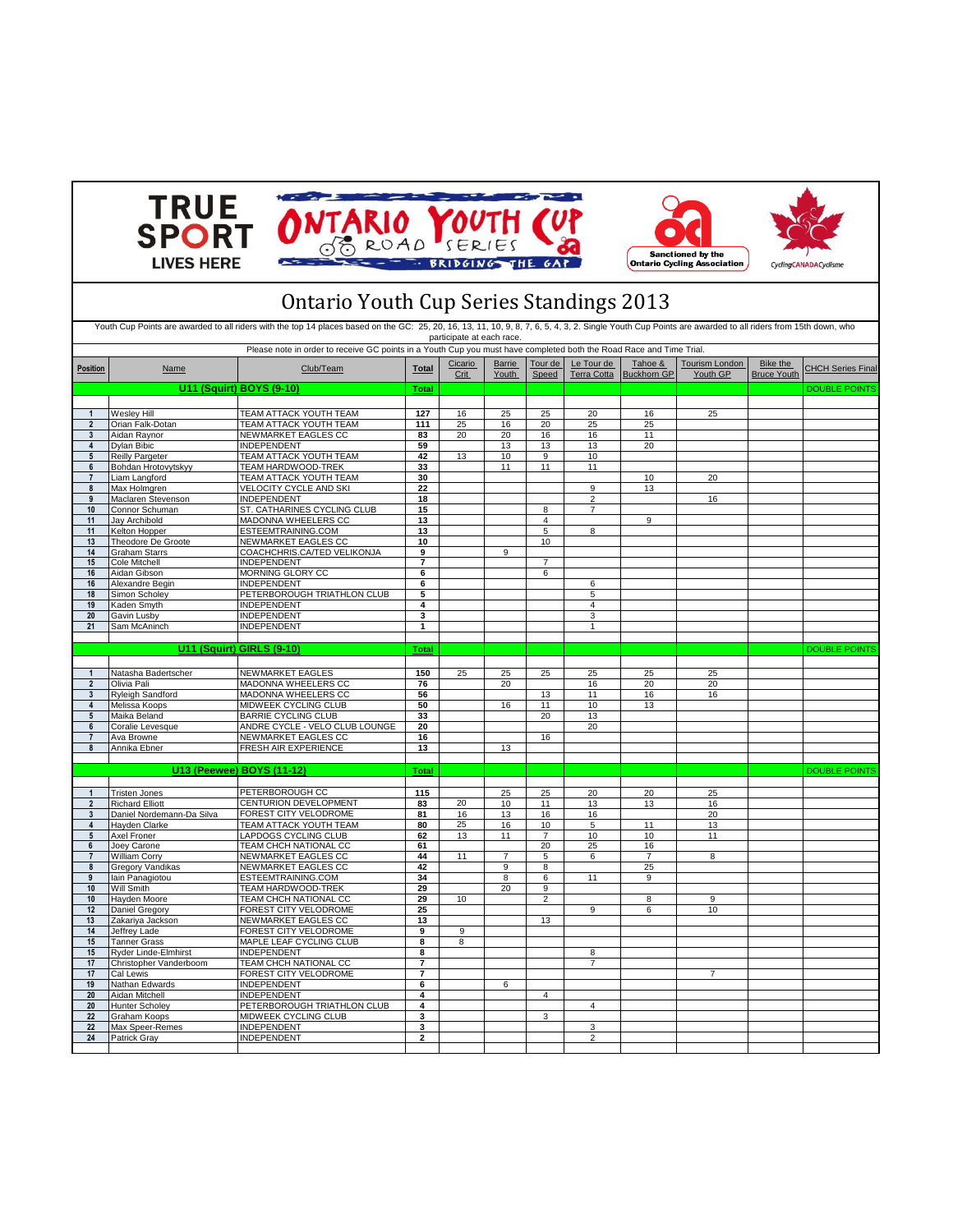







## **Total** DOUBLE POINTS **1** Wesley Hill TEAM ATTACK YOUTH TEAM **127** 16 25 25 20 16 25 **2** Orian Falk-Dotan TEAM ATTACK YOUTH TEAM **111** 25 16 20 25 25 **3** Aidan Raynor **NEWMARKET EAGLES CC**<br>**4** Dylan Bibic **INDEPENDENT 4** Dylan Bibic INDEPENDENT **59** 13 13 13 20 **5** Reilly Pargeter TEAM ATTACK YOUTH TEAM **42** 13 10 9 10 **6** Bohdan Hrotovytskyy TEAM HARDWOOD-TREK 133 11 11 11 11 **7** Liam Langford TEAM ATTACK YOUTH TEAM 30 10 20<br>
8 Max Holmgren VELOCITY CYCLE AND SKI 22 9 13 **8** VELOCITY CYCLE AND SKI **9** Maclaren Stevenson INDEPENDENT 18 18 16 16 2 16 16 10 Connor Schuman ST. CATHARINES CYCLING CLUB **15** 8<br>
11 Jay Archibold MADONNA WHEELERS CC **13** 4 **13 12 14 14** 9 11 Kelton Hopper ESTEEMTRAINING.COM 13 1<br>13 Theodore De Groote NEWMARKET EAGLES CC 10 10 1 10 1 13 Theodore De Groote **10** NEWMARKET EAGLES CC 10<br>14 Graham Starrs **10** COACHCHRIS.CATED VELIKONJA **14** Graham Starrs COACHCHRIS.CA/TED VELIKONJA **9** 9 **15** Cole Mitchell INDEPENDENT **7** 7 **MORNING GI ORY CC** 16 Alexandre Begin **16 Alexandre Begin** 11 Alexandre Begin 11 Alexandre Begin 11 Alexandre Begin 11 Alexandre Begin 12 Alexandre 12 Alexandre 12 Alexandre 12 Alexandre 12 Alexandre 12 Alexandre 12 Alexandre 12 Alexandre 12 **18 SIMON SCHOLER SCHOLER SCHOLER SCHOLER SCHOLER SCHOOLS SCHOOLS SCHOOLS SCHOOLS SCHOOLS SCHOOLS SCHOOLS SCHOOLS SCHOOLS SCHOOLS SCHOOLS SCHOOLS SCHOOLS SCHOOLS SCHOOLS SCHOOLS SCHOOLS SCHOOLS SCHOOLS SCHOOLS SCHOOLS SCHO 19** Kaden Smyth INDEPENDENT **4** 4 **20** Gavin Lusby **INDEPENDENT 3** 3<br> **21** Sam McAninch **1** INDEPENDENT **1** 1 **21** Sam McAninch **11** INDEPENDENT **1** 1 **Total** DOUBLE POINTS **1** Natasha Badertscher NEWMARKET EAGLES **150** 25 25 25 25 25 25 2 Olivia Pali **MADONNA WHEELERS CC** 76 20 20 16<br>3 Ryleigh Sandford MADONNA WHEELERS CC 56 56 **3** Ryleigh Sandford MADONNA WHEELERS CC **56** 13 11 16 16 **4** Melissa Koops MIDWEEK CYCLING CLUB **50** 16 11 10 13 **5** Maika Beland BARRIE CYCLING CLUB **33** 20 13<br>**6** Coralie Levesque ANDRE CYCLE - VELO CLUB LOUNGE 20 20 20 **6** Coralie Levesque ANDRE CYCLE - VELO CLUB LOUNGE **20** 20 Ava Browne **16** NEWMARKET EAGLES CC 16<br> **16** Annika Ebner FRESH AIR EXPERIENCE 13 13 13 **8** Annika Ebner FRESH AIR EXPERIENCE **13** 13 **Total** DOUBLE POINTS **1** Tristen Jones PETERBOROUGH CC **115** 25 25 20 20 25 **2** Richard Elliott CENTURION DEVELOPMENT **83** 20 10 11 13 13 16 **3** Daniel Nordemann-Da Silva FOREST CITY VELODROME **81** 16 13 16 16 20 **4** Hayden Clarke **TEAM ATTACK YOUTH TEAM 80** 25 16 10 5 11 13<br>4 Axel Froner LAPDOGS CYCLING CLUB 62 13 11 7 10 10 11 **5** Axel Froner LAPDOGS CYCLING CLUB **62** 13 11 7 10 10 11 TEAM CHCH NATIONAL CC **61** 20 25<br>
T William Corry **REM NATIONAL CC** 61 44 11 7 5 6 **7** NEWMARKET EAGLES CC **44** 11 7 5 6 7 8<br>**NEWMARKET EAGLES CC 42** 9 8 25 **8** Gregory Vandikas NEWMARKET EAGLES CC **42** 9 8 25 **9** Iain Panagiotou ESTEEMTRAINING.COM **34** 8 6 11 9 **10** Will Smith TEAM HARDWOOD-TREK **29** 20 9 **10** Hayden Moore **TEAM CHCH NATIONAL CC 29** 10 2 8 9 12 Daniel Gregory FOREST CITY VELODROME 25 1 9 6 10<br>13 Zakariya Jackson NEW MARKET EAGLES CC 1 13 1 13 13 Zakariya Jackson NEWMARKET EAGLES CC 13<br>14 Jeffrey Lade **FOREST CITY VELODROME** 9 9 **10A POREST CITY VELODROME 15** Tanner Grass MAPLE LEAF CYCLING CLUB **8** 8 15 Ryder Linde-Elmhirst **INDEPENDENT 8** 8<br>17 Christopher Vanderboom TEAM CHCH NATIONAL CC 7 17 Christopher Vanderboom **TEAM CHCH NATIONAL CC** 7<br>17 Cal Lewis **FOREST CITY VELODROME** 7 17 Cal Lewis **17** Nathan Edwards **17 Cal Lewis 17 17 Nathan Edwards 18 INDEPENDENT 6 6 Nathan Edwards 20** Aidan Mitchell INDEPENDENT **4** 4 **20** Hunter Scholey PETERBOROUGH TRIATHLON CLUB 4<br> **22** Graham Koops MIDWEEK CYCLING CLUB 3 4 3 **22** Graham Koops MIDWEEK CYCLING CLUB **3** 3 **22** Max Speer-Remes INDEPENDENT **3** 3 **24** Patrick Gray INDEPENDENT **2** 2 Bike the Bruce Youth **U11 (Squirt) GIRLS (9-10) U13 (Peewee) BOYS (11-12) U11 (Squirt) BOYS (9-10)** Ontario Youth Cup Series Standings 2013 Youth Cup Points are awarded to all riders with the top 14 places based on the GC: 25, 20, 16, 13, 11, 10, 9, 8, 7, 6, 5, 4, 3, 2. Single Youth Cup Points are awarded to all riders from 15th down, who participate at each race. Please note in order to receive GC points in a Youth Cup you must have completed both the Road Race and Time Trial. **Position Name Name Club/Team Total Cicario Crit** Barrie Youth Tour de Speed Le Tour de Terra Cotta Tahoe & Tourism London | Bike the CHCH Series Final<br>Buckhorn GP Youth GP | Bruce Youth CHCH Series Final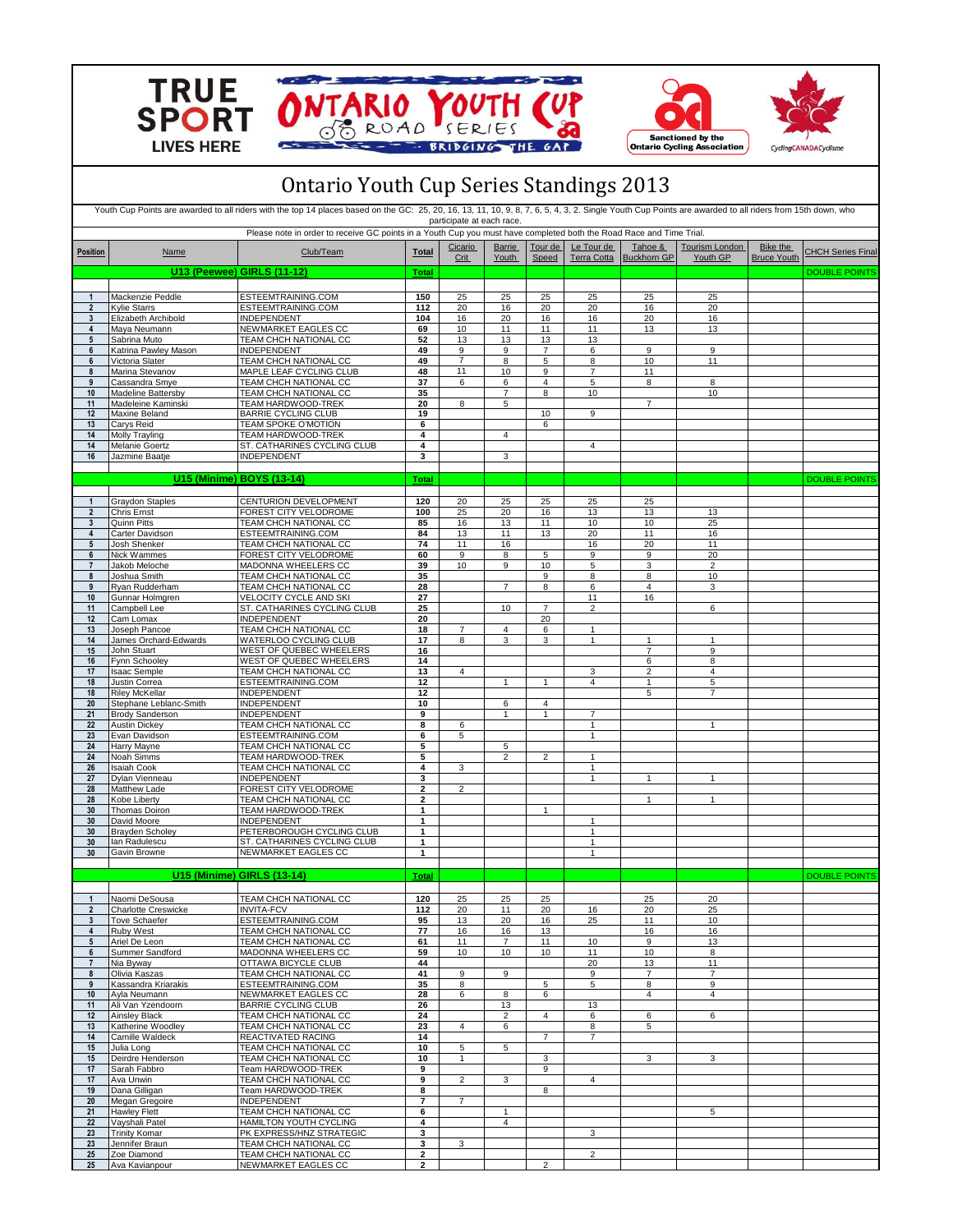





## Ontario Youth Cup Series Standings 2013

|                                   |                                                 | Youth Cup Points are awarded to all riders with the top 14 places based on the GC: 25, 20, 16, 13, 11, 10, 9, 8, 7, 6, 5, 4, 3, 2. Single Youth Cup Points are awarded to all riders from 15th down, who |                         | participate at each race. |                               |                  |                                  |                                |                                   |                                       |                          |
|-----------------------------------|-------------------------------------------------|----------------------------------------------------------------------------------------------------------------------------------------------------------------------------------------------------------|-------------------------|---------------------------|-------------------------------|------------------|----------------------------------|--------------------------------|-----------------------------------|---------------------------------------|--------------------------|
| <b>Position</b>                   | Name                                            | Please note in order to receive GC points in a Youth Cup you must have completed both the Road Race and Time Trial.<br>Club/Team                                                                         | Total                   | Cicario<br>Crit           | <b>Barrie</b><br><b>Youth</b> | Tour de<br>Speed | Le Tour de<br><b>Terra Cotta</b> | Tahoe &<br><b>Buckhorn GP</b>  | <b>Tourism London</b><br>Youth GP | <b>Bike the</b><br><b>Bruce Youth</b> | <b>CHCH Series Final</b> |
|                                   |                                                 | <b>U13 (Peewee) GIRLS (11-12)</b>                                                                                                                                                                        | Total                   |                           |                               |                  |                                  |                                |                                   |                                       | <b>DOUBLE POINTS</b>     |
|                                   |                                                 |                                                                                                                                                                                                          |                         |                           |                               |                  |                                  |                                |                                   |                                       |                          |
| $\mathbf{1}$                      | Mackenzie Peddle                                | ESTEEMTRAINING.COM                                                                                                                                                                                       | 150                     | 25                        | 25                            | 25               | 25                               | 25                             | 25                                |                                       |                          |
| $\overline{2}$                    | <b>Kylie Starrs</b>                             | ESTEEMTRAINING.COM                                                                                                                                                                                       | 112                     | 20                        | 16                            | 20               | 20                               | 16                             | 20                                |                                       |                          |
| $\mathbf{3}$<br>4                 | Elizabeth Archibold<br>Maya Neumann             | INDEPENDENT<br>NEWMARKET EAGLES CC                                                                                                                                                                       | 104<br>69               | 16<br>10                  | 20<br>11                      | 16<br>11         | 16<br>11                         | 20<br>13                       | 16<br>13                          |                                       |                          |
| $5\phantom{.0}$                   | Sabrina Muto                                    | TEAM CHCH NATIONAL CC                                                                                                                                                                                    | 52                      | 13                        | 13                            | 13               | 13                               |                                |                                   |                                       |                          |
| 6                                 | Katrina Pawley Mason                            | INDEPENDENT                                                                                                                                                                                              | 49                      | 9                         | 9                             | 7                | 6                                | 9                              | 9                                 |                                       |                          |
| 6                                 | Victoria Slater                                 | TEAM CHCH NATIONAL CC<br>MAPLE LEAF CYCLING CLUB                                                                                                                                                         | 49<br>48                | $\overline{7}$<br>11      | 8<br>10                       | 5<br>9           | 8<br>7                           | 10<br>11                       | 11                                |                                       |                          |
| 8<br>9                            | Marina Stevanov<br>Cassandra Smye               | TEAM CHCH NATIONAL CC                                                                                                                                                                                    | 37                      | 6                         | 6                             | 4                | 5                                | 8                              | 8                                 |                                       |                          |
| 10                                | Madeline Battersby                              | TEAM CHCH NATIONAL CC                                                                                                                                                                                    | 35                      |                           | $\overline{7}$                | 8                | 10                               |                                | 10                                |                                       |                          |
| 11                                | Madeleine Kaminski                              | TEAM HARDWOOD-TREK                                                                                                                                                                                       | 20                      | 8                         | 5                             |                  |                                  | $\overline{7}$                 |                                   |                                       |                          |
| 12<br>13                          | Maxine Beland<br>Carys Reid                     | <b>BARRIE CYCLING CLUB</b><br>TEAM SPOKE O'MOTION                                                                                                                                                        | 19<br>6                 |                           |                               | 10<br>6          | 9                                |                                |                                   |                                       |                          |
| 14                                | Molly Trayling                                  | TEAM HARDWOOD-TREK                                                                                                                                                                                       | 4                       |                           | $\overline{4}$                |                  |                                  |                                |                                   |                                       |                          |
| 14                                | Melanie Goertz                                  | ST. CATHARINES CYCLING CLUB                                                                                                                                                                              | 4                       |                           |                               |                  | 4                                |                                |                                   |                                       |                          |
| 16                                | Jazmine Baatje                                  | INDEPENDENT                                                                                                                                                                                              | 3                       |                           | 3                             |                  |                                  |                                |                                   |                                       |                          |
|                                   |                                                 |                                                                                                                                                                                                          |                         |                           |                               |                  |                                  |                                |                                   |                                       |                          |
|                                   |                                                 | U15 (Minime) BOYS (13-14)                                                                                                                                                                                | <b>Total</b>            |                           |                               |                  |                                  |                                |                                   |                                       | <b>DOUBLE POINTS</b>     |
|                                   | Graydon Staples                                 | CENTURION DEVELOPMENT                                                                                                                                                                                    | 120                     | 20                        | 25                            | 25               | 25                               | 25                             |                                   |                                       |                          |
| $\overline{2}$                    | Chris Ernst                                     | FOREST CITY VELODROME                                                                                                                                                                                    | 100                     | 25                        | 20                            | 16               | 13                               | 13                             | 13                                |                                       |                          |
| 3                                 | Quinn Pitts                                     | TEAM CHCH NATIONAL CC                                                                                                                                                                                    | 85                      | 16                        | 13                            | 11               | 10                               | 10                             | 25                                |                                       |                          |
| $\overline{4}$<br>$5\overline{)}$ | Carter Davidson<br>Josh Shenker                 | ESTEEMTRAINING.COM<br>TEAM CHCH NATIONAL CC                                                                                                                                                              | 84<br>74                | 13<br>11                  | 11<br>16                      | 13               | 20<br>16                         | 11<br>20                       | 16<br>11                          |                                       |                          |
| 6                                 | Nick Wammes                                     | FOREST CITY VELODROME                                                                                                                                                                                    | 60                      | 9                         | 8                             | 5                | 9                                | 9                              | 20                                |                                       |                          |
| $\overline{7}$                    | Jakob Meloche                                   | MADONNA WHEELERS CC                                                                                                                                                                                      | 39                      | 10                        | 9                             | 10               | 5                                | 3                              | $\overline{2}$                    |                                       |                          |
| 8                                 | Joshua Smith                                    | TEAM CHCH NATIONAL CC                                                                                                                                                                                    | 35                      |                           |                               | 9                | 8                                | 8                              | 10                                |                                       |                          |
| 9<br>10                           | Ryan Rudderham<br>Gunnar Holmgren               | TEAM CHCH NATIONAL CC<br>VELOCITY CYCLE AND SKI                                                                                                                                                          | 28<br>27                |                           | $\overline{7}$                | 8                | 6<br>11                          | 4<br>16                        | 3                                 |                                       |                          |
| 11                                | Campbell Lee                                    | ST. CATHARINES CYCLING CLUB                                                                                                                                                                              | 25                      |                           | 10                            | $\overline{7}$   | $\overline{2}$                   |                                | 6                                 |                                       |                          |
| 12                                | Cam Lomax                                       | <b>INDEPENDENT</b>                                                                                                                                                                                       | 20                      |                           |                               | 20               |                                  |                                |                                   |                                       |                          |
| 13                                | Joseph Pancoe                                   | TEAM CHCH NATIONAL CC                                                                                                                                                                                    | 18                      | $\overline{7}$            | 4                             | 6                | $\mathbf{1}$                     |                                |                                   |                                       |                          |
| 14<br>15                          | James Orchard-Edwards<br>John Stuart            | WATERLOO CYCLING CLUB<br>WEST OF QUEBEC WHEELERS                                                                                                                                                         | 17<br>16                | 8                         | 3                             | 3                | $\mathbf{1}$                     | $\mathbf{1}$<br>$\overline{7}$ | $\mathbf{1}$<br>$\boldsymbol{9}$  |                                       |                          |
| 16                                | Fynn Schooley                                   | WEST OF QUEBEC WHEELERS                                                                                                                                                                                  | 14                      |                           |                               |                  |                                  | 6                              | 8                                 |                                       |                          |
| 17                                | Isaac Semple                                    | TEAM CHCH NATIONAL CC                                                                                                                                                                                    | 13                      | $\overline{4}$            |                               |                  | 3                                | $\overline{2}$                 | $\overline{4}$                    |                                       |                          |
| 18                                | Justin Correa                                   | ESTEEMTRAINING.COM                                                                                                                                                                                       | 12                      |                           | $\mathbf{1}$                  | $\mathbf{1}$     | $\overline{4}$                   | 1                              | 5                                 |                                       |                          |
| 18<br>20                          | <b>Riley McKellar</b><br>Stephane Leblanc-Smith | INDEPENDENT<br>INDEPENDENT                                                                                                                                                                               | 12<br>10                |                           | 6                             | 4                |                                  | 5                              | $\overline{7}$                    |                                       |                          |
| 21                                | <b>Brody Sanderson</b>                          | INDEPENDENT                                                                                                                                                                                              | 9                       |                           | 1                             | 1                | 7                                |                                |                                   |                                       |                          |
| 22                                | <b>Austin Dickey</b>                            | TEAM CHCH NATIONAL CC                                                                                                                                                                                    | 8                       | 6                         |                               |                  | $\mathbf{1}$                     |                                | $\overline{1}$                    |                                       |                          |
| 23                                | Evan Davidson                                   | ESTEEMTRAINING.COM                                                                                                                                                                                       | 6                       | 5                         |                               |                  | $\mathbf{1}$                     |                                |                                   |                                       |                          |
| 24<br>24                          | Harry Mayne<br>Noah Simms                       | TEAM CHCH NATIONAL CC<br>TEAM HARDWOOD-TREK                                                                                                                                                              | 5<br>5                  |                           | 5<br>$\overline{2}$           | $\overline{2}$   | $\mathbf{1}$                     |                                |                                   |                                       |                          |
| 26                                | Isaiah Cook                                     | TEAM CHCH NATIONAL CC                                                                                                                                                                                    | 4                       | 3                         |                               |                  | $\mathbf{1}$                     |                                |                                   |                                       |                          |
| 27                                | Dylan Vienneau                                  | INDEPENDENT                                                                                                                                                                                              | 3                       |                           |                               |                  | $\mathbf{1}$                     | 1                              | $\mathbf{1}$                      |                                       |                          |
| 28                                | Matthew Lade                                    | FOREST CITY VELODROME                                                                                                                                                                                    | $\overline{\mathbf{2}}$ | 2                         |                               |                  |                                  |                                |                                   |                                       |                          |
| 28<br>30                          | Kobe Liberty<br><b>Thomas Doiron</b>            | TEAM CHCH NATIONAL CC<br>TEAM HARDWOOD-TREK                                                                                                                                                              | 2<br>1                  |                           |                               | 1                |                                  | $\overline{1}$                 | $\mathbf{1}$                      |                                       |                          |
| 30                                | David Moore                                     | INDEPENDENT                                                                                                                                                                                              | 1                       |                           |                               |                  | $\mathbf{1}$                     |                                |                                   |                                       |                          |
| 30                                | <b>Brayden Scholey</b>                          | PETERBOROUGH CYCLING CLUB                                                                                                                                                                                | $\mathbf{1}$            |                           |                               |                  | $\mathbf{1}$                     |                                |                                   |                                       |                          |
| 30                                | lan Radulescu                                   | ST. CATHARINES CYCLING CLUB                                                                                                                                                                              | 1                       |                           |                               |                  | $\mathbf{1}$                     |                                |                                   |                                       |                          |
| 30                                | Gavin Browne                                    | NEWMARKET EAGLES CC                                                                                                                                                                                      | $\mathbf{1}$            |                           |                               |                  | $\mathbf{1}$                     |                                |                                   |                                       |                          |
|                                   |                                                 | <b>U15 (Minime) GIRLS (13-14)</b>                                                                                                                                                                        | <b>Total</b>            |                           |                               |                  |                                  |                                |                                   |                                       | <b>DOUBLE POINTS</b>     |
|                                   |                                                 |                                                                                                                                                                                                          |                         |                           |                               |                  |                                  |                                |                                   |                                       |                          |
|                                   | Naomi DeSousa                                   | TEAM CHCH NATIONAL CC                                                                                                                                                                                    | 120                     | 25                        | 25                            | 25               |                                  | 25                             | ZU                                |                                       |                          |
| $\overline{2}$                    | Charlotte Creswicke                             | <b>INVITA-FCV</b>                                                                                                                                                                                        | 112                     | 20                        | 11                            | 20               | 16                               | 20                             | 25                                |                                       |                          |
| 3 <sup>1</sup><br>$\overline{4}$  | Tove Schaefer<br>Ruby West                      | ESTEEMTRAINING.COM<br>TEAM CHCH NATIONAL CC                                                                                                                                                              | 95<br>77                | 13<br>16                  | 20<br>16                      | 16<br>13         | 25                               | 11<br>16                       | 10<br>16                          |                                       |                          |
| 5 <sub>5</sub>                    | Ariel De Leon                                   | TEAM CHCH NATIONAL CC                                                                                                                                                                                    | 61                      | 11                        | $\overline{7}$                | 11               | 10                               | 9                              | 13                                |                                       |                          |
| 6                                 | Summer Sandford                                 | MADONNA WHEELERS CC                                                                                                                                                                                      | 59                      | 10                        | 10                            | 10               | 11                               | 10                             | 8                                 |                                       |                          |
| $\overline{7}$                    | Nia Byway                                       | OTTAWA BICYCLE CLUB                                                                                                                                                                                      | 44                      |                           |                               |                  | 20                               | 13                             | 11                                |                                       |                          |
| 8<br>9                            | Olivia Kaszas<br>Kassandra Kriarakis            | TEAM CHCH NATIONAL CC<br>ESTEEMTRAINING.COM                                                                                                                                                              | 41<br>35                | 9<br>8                    | 9                             | 5                | 9<br>5                           | $\overline{7}$<br>8            | $\overline{7}$<br>9               |                                       |                          |
| 10                                | Avla Neumann                                    | NEWMARKET EAGLES CC                                                                                                                                                                                      | 28                      | 6                         | 8                             | 6                |                                  | $\overline{4}$                 | $\overline{4}$                    |                                       |                          |
| 11                                | Ali Van Yzendoorn                               | <b>BARRIE CYCLING CLUB</b>                                                                                                                                                                               | 26                      |                           | 13                            |                  | 13                               |                                |                                   |                                       |                          |
| 12                                | Ainsley Black                                   | TEAM CHCH NATIONAL CC                                                                                                                                                                                    | 24                      |                           | $\overline{c}$                | $\overline{4}$   | 6                                | 6                              | 6                                 |                                       |                          |
| 13<br>14                          | Katherine Woodley<br>Camille Waldeck            | TEAM CHCH NATIONAL CC<br>REACTIVATED RACING                                                                                                                                                              | 23<br>14                | $\overline{4}$            | 6                             | $\overline{7}$   | 8<br>$\overline{7}$              | 5                              |                                   |                                       |                          |
| 15                                | Julia Long                                      | TEAM CHCH NATIONAL CC                                                                                                                                                                                    | 10                      | 5                         | 5                             |                  |                                  |                                |                                   |                                       |                          |
| 15                                | Deirdre Henderson                               | TEAM CHCH NATIONAL CC                                                                                                                                                                                    | 10                      | $\mathbf{1}$              |                               | 3                |                                  | 3                              | 3                                 |                                       |                          |
| 17                                | Sarah Fabbro                                    | Team HARDWOOD-TREK                                                                                                                                                                                       | 9                       |                           |                               | 9                |                                  |                                |                                   |                                       |                          |
| 17<br>19                          | Ava Unwin<br>Dana Gilligan                      | TEAM CHCH NATIONAL CC<br>Team HARDWOOD-TREK                                                                                                                                                              | 9<br>8                  | $\overline{2}$            | 3                             | 8                | $\overline{4}$                   |                                |                                   |                                       |                          |
| 20                                | Megan Gregoire                                  | INDEPENDENT                                                                                                                                                                                              | 7                       | $\overline{7}$            |                               |                  |                                  |                                |                                   |                                       |                          |
| 21                                | Hawley Flett                                    | TEAM CHCH NATIONAL CC                                                                                                                                                                                    | 6                       |                           | $\mathbf{1}$                  |                  |                                  |                                | 5                                 |                                       |                          |
| 22                                | Vayshali Patel                                  | HAMILTON YOUTH CYCLING                                                                                                                                                                                   | 4                       |                           | $\overline{4}$                |                  |                                  |                                |                                   |                                       |                          |
| 23<br>23                          | <b>Trinity Komar</b><br>Jennifer Braun          | PK EXPRESS/HNZ STRATEGIC<br>TEAM CHCH NATIONAL CC                                                                                                                                                        | 3<br>3                  | 3                         |                               |                  | 3                                |                                |                                   |                                       |                          |
| 25                                | Zoe Diamond                                     | TEAM CHCH NATIONAL CC                                                                                                                                                                                    | 2                       |                           |                               |                  | $\overline{2}$                   |                                |                                   |                                       |                          |
| 25                                | Ava Kavianpour                                  | NEWMARKET EAGLES CC                                                                                                                                                                                      | $\mathbf{2}$            |                           |                               | $\overline{2}$   |                                  |                                |                                   |                                       |                          |